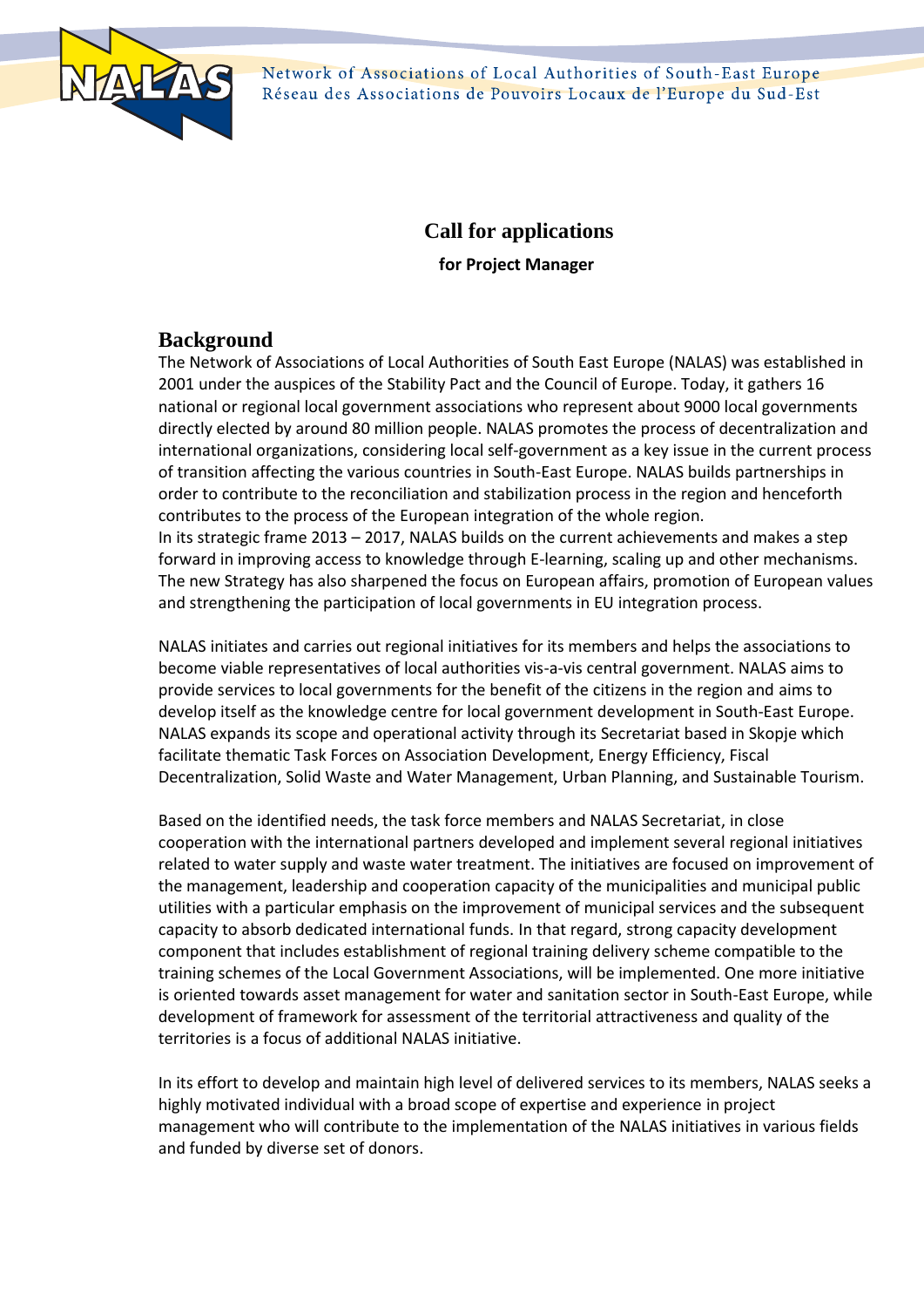

Network of Associations of Local Authorities of South-East Europe Réseau des Associations de Pouvoirs Locaux de l'Europe du Sud-Est

# **Call for applications**

**for Project Manager**

# **Background**

The Network of Associations of Local Authorities of South East Europe (NALAS) was established in 2001 under the auspices of the Stability Pact and the Council of Europe. Today, it gathers 16 national or regional local government associations who represent about 9000 local governments directly elected by around 80 million people. NALAS promotes the process of decentralization and international organizations, considering local self-government as a key issue in the current process of transition affecting the various countries in South-East Europe. NALAS builds partnerships in order to contribute to the reconciliation and stabilization process in the region and henceforth contributes to the process of the European integration of the whole region. In its strategic frame 2013 – 2017, NALAS builds on the current achievements and makes a step forward in improving access to knowledge through E-learning, scaling up and other mechanisms. The new Strategy has also sharpened the focus on European affairs, promotion of European values and strengthening the participation of local governments in EU integration process.

NALAS initiates and carries out regional initiatives for its members and helps the associations to become viable representatives of local authorities vis-а-vis central government. NALAS aims to provide services to local governments for the benefit of the citizens in the region and aims to develop itself as the knowledge centre for local government development in South-East Europe. NALAS expands its scope and operational activity through its Secretariat based in Skopje which facilitate thematic Task Forces on Association Development, Energy Efficiency, Fiscal Decentralization, Solid Waste and Water Management, Urban Planning, and Sustainable Tourism.

Based on the identified needs, the task force members and NALAS Secretariat, in close cooperation with the international partners developed and implement several regional initiatives related to water supply and waste water treatment. The initiatives are focused on improvement of the management, leadership and cooperation capacity of the municipalities and municipal public utilities with a particular emphasis on the improvement of municipal services and the subsequent capacity to absorb dedicated international funds. In that regard, strong capacity development component that includes establishment of regional training delivery scheme compatible to the training schemes of the Local Government Associations, will be implemented. One more initiative is oriented towards asset management for water and sanitation sector in South-East Europe, while development of framework for assessment of the territorial attractiveness and quality of the territories is a focus of additional NALAS initiative.

In its effort to develop and maintain high level of delivered services to its members, NALAS seeks a highly motivated individual with a broad scope of expertise and experience in project management who will contribute to the implementation of the NALAS initiatives in various fields and funded by diverse set of donors.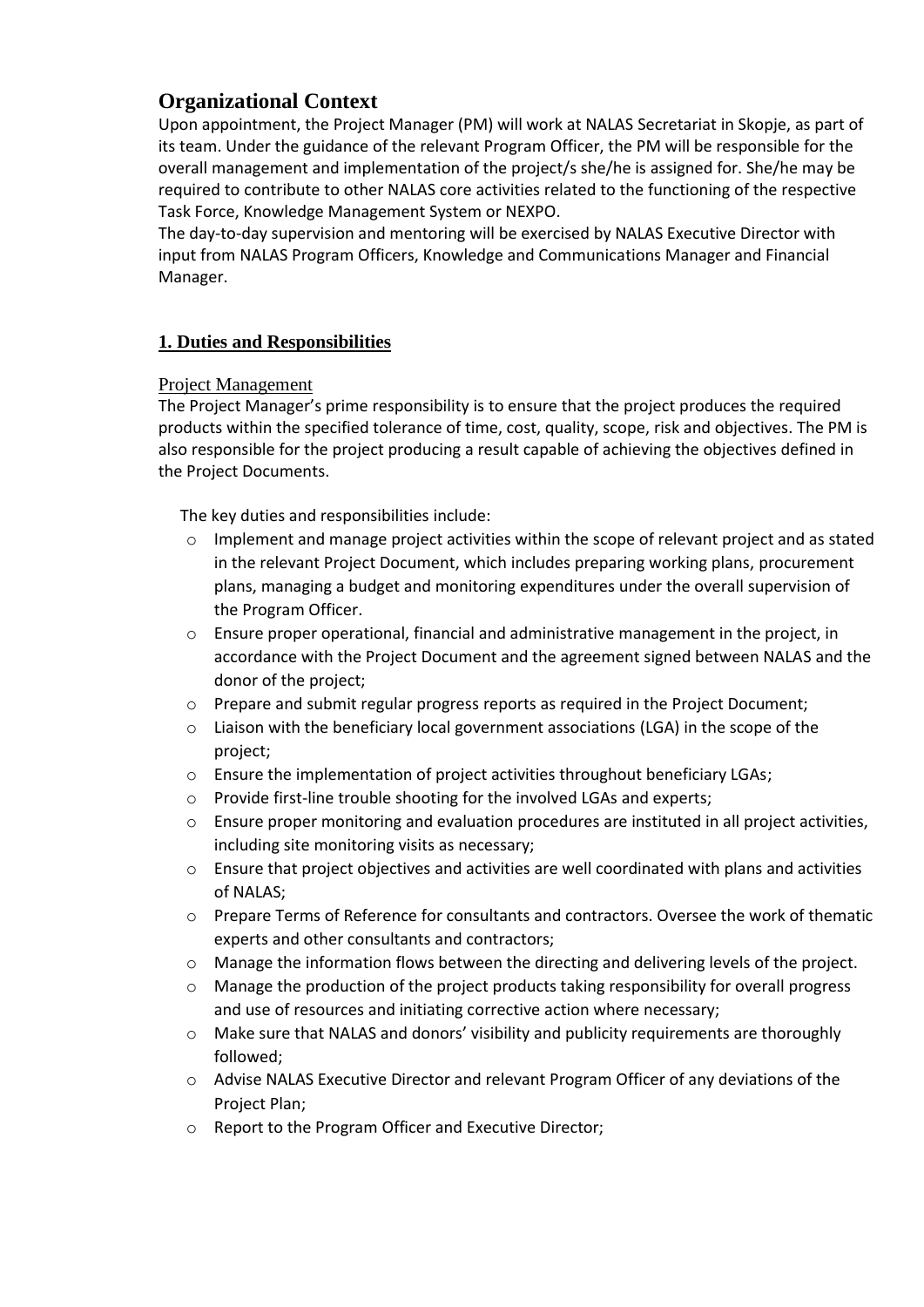# **Organizational Context**

Upon appointment, the Project Manager (PM) will work at NALAS Secretariat in Skopje, as part of its team. Under the guidance of the relevant Program Officer, the PM will be responsible for the overall management and implementation of the project/s she/he is assigned for. She/he may be required to contribute to other NALAS core activities related to the functioning of the respective Task Force, Knowledge Management System or NEXPO.

The day-to-day supervision and mentoring will be exercised by NALAS Executive Director with input from NALAS Program Officers, Knowledge and Communications Manager and Financial Manager.

# **1. Duties and Responsibilities**

### Project Management

The Project Manager's prime responsibility is to ensure that the project produces the required products within the specified tolerance of time, cost, quality, scope, risk and objectives. The PM is also responsible for the project producing a result capable of achieving the objectives defined in the Project Documents.

The key duties and responsibilities include:

- $\circ$  Implement and manage project activities within the scope of relevant project and as stated in the relevant Project Document, which includes preparing working plans, procurement plans, managing a budget and monitoring expenditures under the overall supervision of the Program Officer.
- $\circ$  Ensure proper operational, financial and administrative management in the project, in accordance with the Project Document and the agreement signed between NALAS and the donor of the project;
- o Prepare and submit regular progress reports as required in the Project Document;
- $\circ$  Liaison with the beneficiary local government associations (LGA) in the scope of the project;
- $\circ$  Ensure the implementation of project activities throughout beneficiary LGAs;
- o Provide first-line trouble shooting for the involved LGAs and experts;
- o Ensure proper monitoring and evaluation procedures are instituted in all project activities, including site monitoring visits as necessary;
- o Ensure that project objectives and activities are well coordinated with plans and activities of NALAS;
- o Prepare Terms of Reference for consultants and contractors. Oversee the work of thematic experts and other consultants and contractors;
- o Manage the information flows between the directing and delivering levels of the project.
- o Manage the production of the project products taking responsibility for overall progress and use of resources and initiating corrective action where necessary;
- o Make sure that NALAS and donors' visibility and publicity requirements are thoroughly followed;
- o Advise NALAS Executive Director and relevant Program Officer of any deviations of the Project Plan;
- o Report to the Program Officer and Executive Director;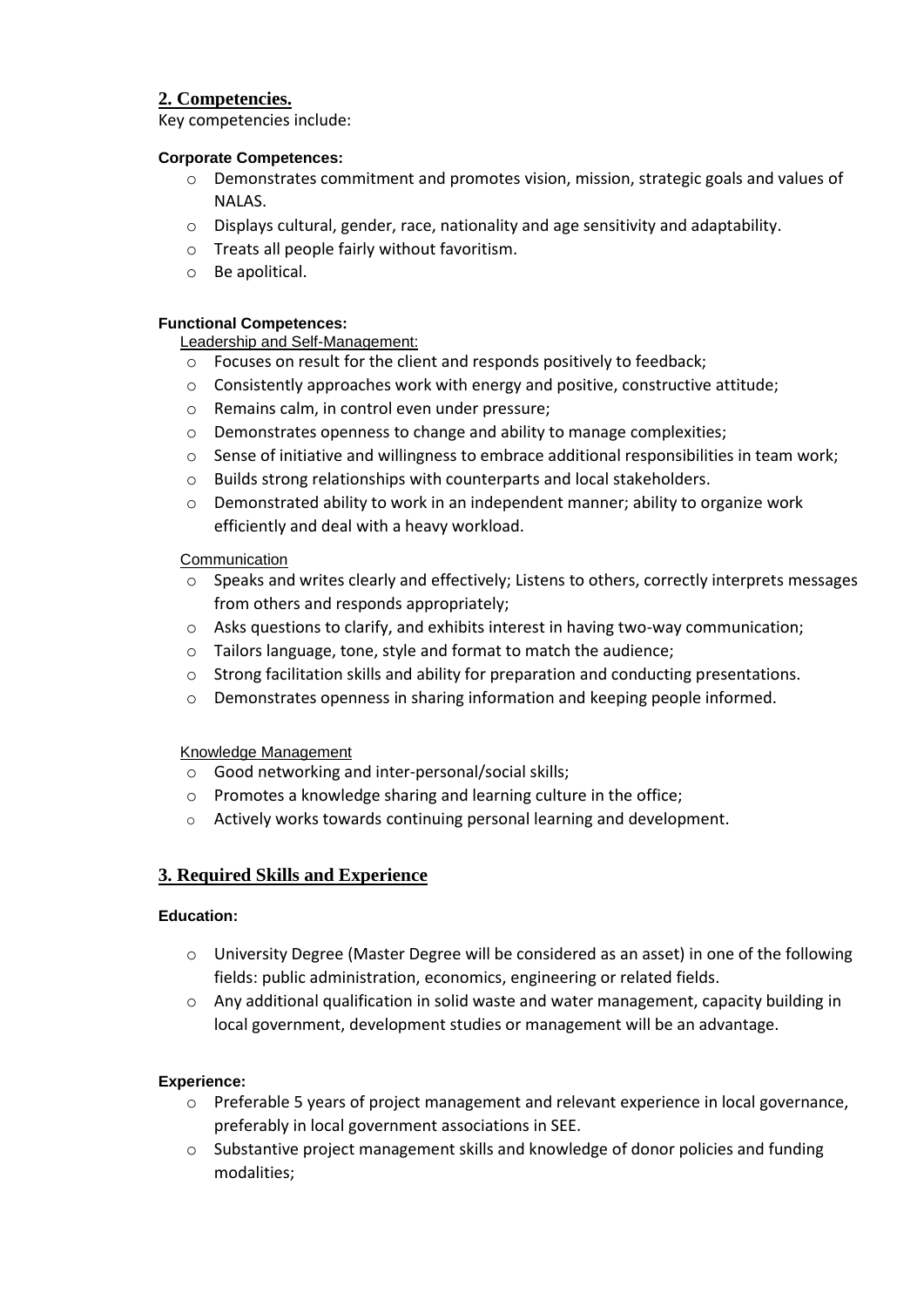# **2. Competencies.**

Key competencies include:

#### **Corporate Competences:**

- $\circ$  Demonstrates commitment and promotes vision, mission, strategic goals and values of NALAS.
- o Displays cultural, gender, race, nationality and age sensitivity and adaptability.
- o Treats all people fairly without favoritism.
- o Be apolitical.

#### **Functional Competences:**

Leadership and Self-Management:

- o Focuses on result for the client and responds positively to feedback;
- o Consistently approaches work with energy and positive, constructive attitude;
- o Remains calm, in control even under pressure;
- o Demonstrates openness to change and ability to manage complexities;
- $\circ$  Sense of initiative and willingness to embrace additional responsibilities in team work;
- o Builds strong relationships with counterparts and local stakeholders.
- o Demonstrated ability to work in an independent manner; ability to organize work efficiently and deal with a heavy workload.

#### **Communication**

- $\circ$  Speaks and writes clearly and effectively; Listens to others, correctly interprets messages from others and responds appropriately;
- $\circ$  Asks questions to clarify, and exhibits interest in having two-way communication;
- o Tailors language, tone, style and format to match the audience;
- $\circ$  Strong facilitation skills and ability for preparation and conducting presentations.
- o Demonstrates openness in sharing information and keeping people informed.

#### Knowledge Management

- o Good networking and inter-personal/social skills;
- o Promotes a knowledge sharing and learning culture in the office;
- o Actively works towards continuing personal learning and development.

# **3. Required Skills and Experience**

#### **Education:**

- o University Degree (Master Degree will be considered as an asset) in one of the following fields: public administration, economics, engineering or related fields.
- $\circ$  Any additional qualification in solid waste and water management, capacity building in local government, development studies or management will be an advantage.

#### **Experience:**

- o Preferable 5 years of project management and relevant experience in local governance, preferably in local government associations in SEE.
- $\circ$  Substantive project management skills and knowledge of donor policies and funding modalities;